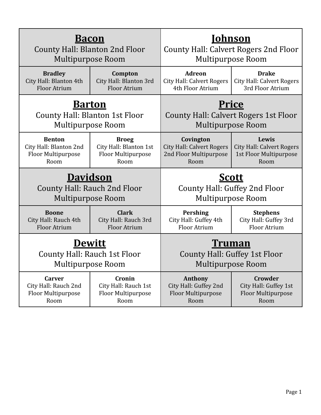| <u>Bacon</u>                                |                                                      | Johnson                               |                                                                           |
|---------------------------------------------|------------------------------------------------------|---------------------------------------|---------------------------------------------------------------------------|
| <b>County Hall: Blanton 2nd Floor</b>       |                                                      | County Hall: Calvert Rogers 2nd Floor |                                                                           |
| <b>Multipurpose Room</b>                    |                                                      | <b>Multipurpose Room</b>              |                                                                           |
| <b>Bradley</b>                              | Compton                                              | <b>Adreon</b>                         | <b>Drake</b>                                                              |
| City Hall: Blanton 4th                      | City Hall: Blanton 3rd                               | <b>City Hall: Calvert Rogers</b>      | <b>City Hall: Calvert Rogers</b>                                          |
| <b>Floor Atrium</b>                         | <b>Floor Atrium</b>                                  | 4th Floor Atrium                      | 3rd Floor Atrium                                                          |
| <u>Barton</u>                               |                                                      | <b>Price</b>                          |                                                                           |
| County Hall: Blanton 1st Floor              |                                                      | County Hall: Calvert Rogers 1st Floor |                                                                           |
| <b>Multipurpose Room</b>                    |                                                      | <b>Multipurpose Room</b>              |                                                                           |
| <b>Benton</b>                               | <b>Broeg</b>                                         | Covington                             | Lewis                                                                     |
| City Hall: Blanton 2nd                      | City Hall: Blanton 1st                               | <b>City Hall: Calvert Rogers</b>      | <b>City Hall: Calvert Rogers</b>                                          |
| Floor Multipurpose                          | Floor Multipurpose                                   | 2nd Floor Multipurpose                | 1st Floor Multipurpose                                                    |
| Room                                        | Room                                                 | Room                                  | Room                                                                      |
|                                             |                                                      |                                       |                                                                           |
| <b>Davidson</b><br><b>Multipurpose Room</b> | <b>County Hall: Rauch 2nd Floor</b>                  |                                       | <u>Scott</u><br>County Hall: Guffey 2nd Floor<br><b>Multipurpose Room</b> |
| <b>Boone</b>                                | <b>Clark</b>                                         | <b>Pershing</b>                       | <b>Stephens</b>                                                           |
| City Hall: Rauch 4th                        | City Hall: Rauch 3rd                                 | City Hall: Guffey 4th                 | City Hall: Guffey 3rd                                                     |
| Floor Atrium                                | <b>Floor Atrium</b>                                  | Floor Atrium                          | Floor Atrium                                                              |
| <b>Multipurpose Room</b>                    | <b>Dewitt</b><br><b>County Hall: Rauch 1st Floor</b> | <u>Truman</u>                         | County Hall: Guffey 1st Floor<br><b>Multipurpose Room</b>                 |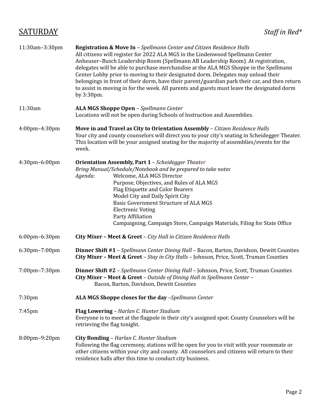## SATURDAY *Staf in Red\**

| 11:30am-3:30pm | Registration & Move In - Spellmann Center and Citizen Residence Halls<br>All citizens will register for 2022 ALA MGS in the Lindenwood Spellmann Center<br>Anheuser-Busch Leadership Room (Spellmann AB Leadership Room). At registration,<br>delegates will be able to purchase merchandise at the ALA MGS Shoppe in the Spellmann<br>Center Lobby prior to moving to their designated dorm. Delegates may unload their<br>belongings in front of their dorm, have their parent/guardian park their car, and then return<br>to assist in moving in for the week. All parents and guests must leave the designated dorm<br>by 3:30pm. |
|----------------|---------------------------------------------------------------------------------------------------------------------------------------------------------------------------------------------------------------------------------------------------------------------------------------------------------------------------------------------------------------------------------------------------------------------------------------------------------------------------------------------------------------------------------------------------------------------------------------------------------------------------------------|
| 11:30am        | ALA MGS Shoppe Open - Spellmann Center<br>Locations will not be open during Schools of Instruction and Assemblies.                                                                                                                                                                                                                                                                                                                                                                                                                                                                                                                    |
| 4:00pm-4:30pm  | Move in and Travel as City to Orientation Assembly - Citizen Residence Halls<br>Your city and county counselors will direct you to your city's seating in Scheidegger Theater.<br>This location will be your assigned seating for the majority of assemblies/events for the<br>week.                                                                                                                                                                                                                                                                                                                                                  |
| 4:30pm-6:00pm  | <b>Orientation Assembly, Part 1 - Scheidegger Theater</b><br>Bring Manual/Schedule/Notebook and be prepared to take notes<br>Welcome, ALA MGS Director<br>Agenda:<br>Purpose, Objectives, and Rules of ALA MGS<br>Flag Etiquette and Color Bearers<br>Model City and Daily Spirit City<br><b>Basic Government Structure of ALA MGS</b><br><b>Electronic Voting</b><br>Party Affiliation<br>Campaigning, Campaign Store, Campaign Materials, Filing for State Office                                                                                                                                                                   |
| 6:00pm-6:30pm  | City Mixer - Meet & Greet - City Hall in Citizen Residence Halls                                                                                                                                                                                                                                                                                                                                                                                                                                                                                                                                                                      |
| 6:30pm-7:00pm  | Dinner Shift #1 - Spellmann Center Dining Hall - Bacon, Barton, Davidson, Dewitt Counties<br>City Mixer - Meet & Greet - Stay in City Halls - Johnson, Price, Scott, Truman Counties                                                                                                                                                                                                                                                                                                                                                                                                                                                  |
| 7:00pm-7:30pm  | <b>Dinner Shift #2</b> - Spellmann Center Dining Hall - Johnson, Price, Scott, Truman Counties<br>City Mixer - Meet & Greet - Outside of Dining Hall in Spellmann Center -<br>Bacon, Barton, Davidson, Dewitt Counties                                                                                                                                                                                                                                                                                                                                                                                                                |
| 7:30pm         | ALA MGS Shoppe closes for the day -Spellmann Center                                                                                                                                                                                                                                                                                                                                                                                                                                                                                                                                                                                   |
| 7:45pm         | Flag Lowering - Harlan C. Hunter Stadium<br>Everyone is to meet at the flagpole in their city's assigned spot: County Counselors will be<br>retrieving the flag tonight.                                                                                                                                                                                                                                                                                                                                                                                                                                                              |
| 8:00pm-9:20pm  | City Bonding - Harlan C. Hunter Stadium<br>Following the flag ceremony, stations will be open for you to visit with your roommate or<br>other citizens within your city and county. All counselors and citizens will return to their<br>residence halls after this time to conduct city business.                                                                                                                                                                                                                                                                                                                                     |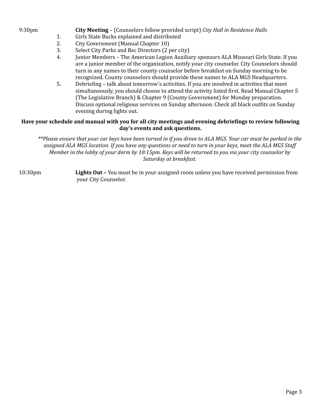- 9:30pm **City Meeting** (Counselors follow provided script) *City Hall in Residence Halls*
	- 1. Girls State Bucks explained and distributed
	- 2. City Government (Manual Chapter 10)
	- 3. Select City Parks and Rec Directors (2 per city)
	- 4. Junior Members The American Legion Auxiliary sponsors ALA Missouri Girls State. If you are a junior member of the organization, notify your city counselor. City Counselors should turn in any names to their county counselor before breakfast on Sunday morning to be recognized. County counselors should provide these names to ALA MGS Headquarters.
	- 5. Debriefing talk about tomorrow's activities. If you are involved in activities that meet simultaneously, you should choose to attend the activity listed first. Read Manual Chapter 5 (The Legislative Branch) & Chapter 9 (County Government) for Monday preparation. Discuss optional religious services on Sunday afternoon. Check all black outfits on Sunday evening during lights out.

### **Have your schedule and manual with you for all city meetings and evening debriefings to review following day's events and ask questions.**

\*\*Please ensure that your car keys have been turned in if you drove to ALA MGS. Your car must be parked in the assigned ALA MGS location. If you have any questions or need to turn in your keys, meet the ALA MGS Staff Member in the lobby of your dorm by 10:15pm. Keys will be returned to you via your city counselor by *Saturday at breakfast.*

10:30pm **Lights Out –** You must be in your assigned room unless you have received permission from your City Counselor.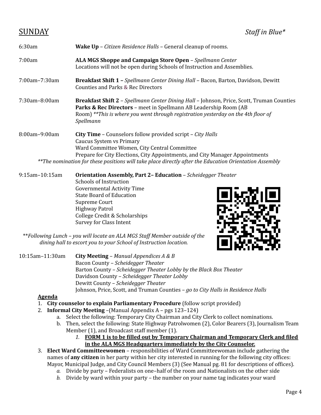| 6:30am        | <b>Wake Up</b> – <i>Citizen Residence Halls</i> – General cleanup of rooms.                                                                                                                                                                                                                                                      |  |  |
|---------------|----------------------------------------------------------------------------------------------------------------------------------------------------------------------------------------------------------------------------------------------------------------------------------------------------------------------------------|--|--|
| 7:00am        | ALA MGS Shoppe and Campaign Store Open - Spellmann Center<br>Locations will not be open during Schools of Instruction and Assemblies.                                                                                                                                                                                            |  |  |
| 7:00am-7:30am | <b>Breakfast Shift 1 - Spellmann Center Dining Hall - Bacon, Barton, Davidson, Dewitt</b><br>Counties and Parks & Rec Directors                                                                                                                                                                                                  |  |  |
| 7:30am-8:00am | <b>Breakfast Shift 2</b> - Spellmann Center Dining Hall - Johnson, Price, Scott, Truman Counties<br>Parks & Rec Directors - meet in Spellmann AB Leadership Room (AB<br>Room) **This is where you went through registration yesterday on the 4th floor of<br>Spellmann                                                           |  |  |
| 8:00am-9:00am | City Time - Counselors follow provided script - City Halls<br>Caucus System vs Primary<br>Ward Committee Women, City Central Committee<br>Prepare for City Elections, City Appointments, and City Manager Appointments<br>**The nomination for these positions will take place directly after the Education Orientation Assembly |  |  |

9:15am–10:15am **Orientation Assembly, Part 2– Education** – *Scheidegger Theater* Schools of Instruction Governmental Activity Time State Board of Education Supreme Court Highway Patrol College Credit & Scholarships Survey for Class Intent



\*\**Following Lunch – you will locate an ALA MGS Staf Member outside of the dining hall to escort you to your School of Instruction location.*

10:15am–11:30am **City Meeting** – *Manual Appendices A & B* Bacon County *– Scheidegger Theater* Barton County *– Scheidegger Theater Lobby by the Black Box Theater* Davidson County *– Scheidegger Theater Lobby* Dewitt County *– Scheidegger Theater* Johnson, Price, Scott, and Truman Counties *– go to City Halls in Residence Halls*

### **Agenda**

- 1. **City counselor to explain Parliamentary Procedure** (follow script provided)
- 2. **Informal City Meeting** –(Manual Appendix A pgs 123–124)
	- a. Select the following: Temporary City Chairman and City Clerk to collect nominations.
	- b. Then, select the following: State Highway Patrolwomen (2), Color Bearers (3), Journalism Team Member (1), and Broadcast staff member (1).
		- *1.* **FORM 1 is to be filled out by Temporary Chairman and Temporary Clerk and filed in the ALA MGS Headquarters immediately by the City Counselor.**
- 3. **Elect Ward Committeewomen** responsibilities of Ward Committeewoman include gathering the names of **any citizen** in her party within her city interested in running for the following city offices: Mayor, Municipal Judge, and City Council Members (3) (See Manual pg. 81 for descriptions of offices).
	- *a.* Divide by party Federalists on one–half of the room and Nationalists on the other side
	- *b.* Divide by ward within your party the number on your name tag indicates your ward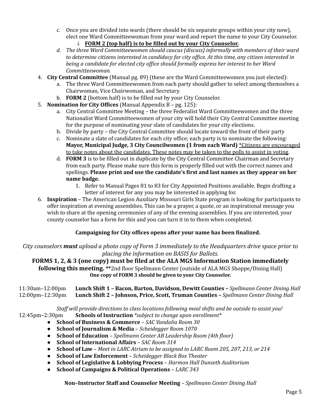- *c.* Once you are divided into wards (there should be six separate groups within your city now), elect one Ward Committeewoman from your ward and report the name to your City Counselor. *i.* **FORM 2 (top half) is to be filled out by your City Counselor.**
- *d. The three Ward Committeewomen should caucus (discuss) informally with members of their ward to determine citizens interested in candidacy for city of ice. At this time, any citizen interested in being a candidate for elected city of ice should formally express her interest to her Ward Committeewoman.*
- 4. **City Central Committee** (Manual pg. 89) (these are the Ward Committeewomen you just elected):
	- a. The three Ward Committeewomen from each party should gather to select among themselves a Chairwoman, Vice Chairwoman, and Secretary.
	- b. **FORM 2** (bottom half) is to be filled out by your City Counselor.
- 5. **Nomination for City Offices** (Manual Appendix B pg. 125):
	- a. City Central Committee Meeting the three Federalist Ward Committeewomen and the three Nationalist Ward Committeewomen of your city will hold their City Central Committee meeting for the purpose of nominating your slate of candidates for your city elections.
	- b. Divide by party the City Central Committee should locate toward the front of their party
	- c. Nominate a slate of candidates for each city office; each party is to nominate the following: **Mayor, Municipal Judge, 3 City Councilwomen (1 from each Ward)** \*Citizens are encouraged to take notes about the candidates. These notes may be taken to the polls to assist in voting.
	- d. **FORM 3** is to be filled out in duplicate by the City Central Committee Chairman and Secretary from each party. Please make sure this form is properly filled out with the correct names and spellings. **Please print and use the candidate's first and last names as they appear on her name badge.**
		- 1. Refer to Manual Pages 81 to 83 for City Appointed Positions available. Begin drafting a letter of interest for any you may be interested in applying for.
- 6. **Inspiration** The American Legion Auxiliary Missouri Girls State program is looking for participants to offer inspiration at evening assemblies. This can be a prayer, a quote, or an inspirational message you wish to share at the opening ceremonies of any of the evening assemblies. If you are interested, your county counselor has a form for this and you can turn it in to them when completed.

### **Campaigning for City offices opens after your name has been finalized.**

*City counselors must upload a photo copy of Form 3 immediately to the Headquarters drive space prior to placing the information on BASIS for Ballots.*

**FORMS 1, 2, & 3 (one copy) must be filed at the ALA MGS Information Station immediately following this meeting. \*\***2nd floor Spellmann Center (outside of ALA MGS Shoppe/Dining Hall) **One copy of FORM 3 should be given to your City Counselor.**

11:30am–12:00pm **Lunch Shift 1 – Bacon, Barton, Davidson, Dewitt Counties –** *Spellmann Center Dining Hall* 12:00pm–12:30pm **Lunch Shift 2 – Johnson, Price, Scott, Truman Counties –** *Spellmann Center Dining Hall*

*Staf will provide directions to class locations following meal shifts and be outside to assist you!* 12:45pm–2:30pm **Schools of Instruction** *\*subject to change upon enrollment\**

- **School of Business & Commerce** *SAC Vandalia Room 30*
- **School of Journalism & Media** *Scheidegger Room 1070*
- **School of Education** *Spellmann Center AB Leadership Room (4th floor)*
- **School of International Affairs** *SAC Room 314*
- **School of Law** *Meet in LARC Atrium to be assigned to LARC Room 205, 207, 213, or 214*
- **School of Law Enforcement** *Scheidegger Black Box Theater*
- **School of Legislative & Lobbying Process** *Harmon Hall Dunseth Auditorium*
- **School of Campaigns & Political Operations** *LARC 343*

**Non–Instructor Staff and Counselor Meeting** – *Spellmann Center Dining Hall*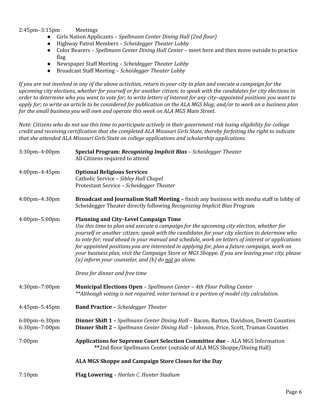2:45pm–3:15pm Meetings

- Girls Nation Applicants *Spellmann Center Dining Hall (2nd floor)*
- Highway Patrol Members *Scheidegger Theater Lobby*
- Color Bearers *Spellmann Center Dining Hall Center –* meet here and then move outside to practice flag
- Newspaper Staff Meeting *Scheidegger Theater Lobby*
- Broadcast Staff Meeting *Scheidegger Theater Lobby*

If you are not involved in any of the above activities, return to your city to plan and execute a campaign for the upcoming city elections, whether for yourself or for another citizen; to speak with the candidates for city elections in order to determine who you want to vote for; to write letters of interest for any city-appointed positions you want to apply for; to write an article to be considered for publication on the ALA MGS blog; and/or to work on a business plan *for the small business you will own and operate this week on ALA MGS Main Street.*

Note: Citizens who do not use this time to participate actively in their government risk losing eligibility for college credit and receiving certification that she completed ALA Missouri Girls State, thereby forfeiting the right to indicate *that she attended ALA Missouri Girls State on college applications and scholarship applications.*

| 3:30pm-4:00pm                         | Special Program: Recognizing Implicit Bias - Scheidegger Theater<br>All Citizens required to attend                                                                                                                                                                                                                                                                                                                                                                                                                                                                                                      |
|---------------------------------------|----------------------------------------------------------------------------------------------------------------------------------------------------------------------------------------------------------------------------------------------------------------------------------------------------------------------------------------------------------------------------------------------------------------------------------------------------------------------------------------------------------------------------------------------------------------------------------------------------------|
| 4:00pm-4:45pm                         | <b>Optional Religious Services</b><br>Catholic Service - Sibley Hall Chapel<br>Protestant Service - Scheidegger Theater                                                                                                                                                                                                                                                                                                                                                                                                                                                                                  |
| 4:00pm-4:30pm                         | Broadcast and Journalism Staff Meeting - finish any business with media staff in lobby of<br>Scheidegger Theater directly following Recognizing Implicit Bias Program                                                                                                                                                                                                                                                                                                                                                                                                                                    |
| 4:00pm-5:00pm                         | <b>Planning and City-Level Campaign Time</b><br>Use this time to plan and execute a campaign for the upcoming city election, whether for<br>yourself or another citizen; speak with the candidates for your city election to determine who<br>to vote for; read ahead in your manual and schedule, work on letters of interest or applications<br>for appointed positions you are interested in applying for, plan a future campaign, work on<br>your business plan, visit the Campaign Store or MGS Shoppe. If you are leaving your city, please<br>(a) inform your counselor, and (b) do not go alone. |
|                                       | Dress for dinner and free time                                                                                                                                                                                                                                                                                                                                                                                                                                                                                                                                                                           |
| 4:30pm-7:00pm                         | Municipal Elections Open - Spellmann Center - 4th Floor Polling Center<br>**Although voting is not required, voter turnout is a portion of model city calculation.                                                                                                                                                                                                                                                                                                                                                                                                                                       |
| 4:45pm-5:45pm                         | <b>Band Practice - Scheidegger Theater</b>                                                                                                                                                                                                                                                                                                                                                                                                                                                                                                                                                               |
| $6:00$ pm $-6:30$ pm<br>6:30pm-7:00pm | Dinner Shift 1 - Spellmann Center Dining Hall - Bacon, Barton, Davidson, Dewitt Counties<br>Dinner Shift 2 - Spellmann Center Dining Hall - Johnson, Price, Scott, Truman Counties                                                                                                                                                                                                                                                                                                                                                                                                                       |
| 7:00pm                                | Applications for Supreme Court Selection Committee due - ALA MGS Information<br>** 2nd floor Spellmann Center (outside of ALA MGS Shoppe/Dining Hall)                                                                                                                                                                                                                                                                                                                                                                                                                                                    |
|                                       | ALA MGS Shoppe and Campaign Store Closes for the Day                                                                                                                                                                                                                                                                                                                                                                                                                                                                                                                                                     |
| 7:10 <sub>pm</sub>                    | Flag Lowering - Harlan C. Hunter Stadium                                                                                                                                                                                                                                                                                                                                                                                                                                                                                                                                                                 |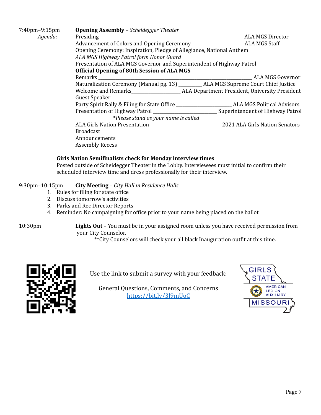| 7:40pm-9:15pm | <b>Opening Assembly - Scheidegger Theater</b>                         |                                                                                                                                                                                                                                                   |  |
|---------------|-----------------------------------------------------------------------|---------------------------------------------------------------------------------------------------------------------------------------------------------------------------------------------------------------------------------------------------|--|
| Agenda:       | Presiding                                                             | ALA MGS Director<br>the control of the control of the control of the control of the control of the control of the control of the control of the control of the control of the control of the control of the control of the control of the control |  |
|               |                                                                       |                                                                                                                                                                                                                                                   |  |
|               | Opening Ceremony: Inspiration, Pledge of Allegiance, National Anthem  |                                                                                                                                                                                                                                                   |  |
|               | ALA MGS Highway Patrol form Honor Guard                               |                                                                                                                                                                                                                                                   |  |
|               | Presentation of ALA MGS Governor and Superintendent of Highway Patrol |                                                                                                                                                                                                                                                   |  |
|               | <b>Official Opening of 80th Session of ALA MGS</b>                    |                                                                                                                                                                                                                                                   |  |
|               |                                                                       | ALA MGS Governor                                                                                                                                                                                                                                  |  |
|               |                                                                       | Naturalization Ceremony (Manual pg. 13) _________ ALA MGS Supreme Court Chief Justice                                                                                                                                                             |  |
|               |                                                                       |                                                                                                                                                                                                                                                   |  |
|               | <b>Guest Speaker</b>                                                  |                                                                                                                                                                                                                                                   |  |
|               |                                                                       |                                                                                                                                                                                                                                                   |  |
|               |                                                                       |                                                                                                                                                                                                                                                   |  |
|               | *Please stand as your name is called                                  |                                                                                                                                                                                                                                                   |  |
|               |                                                                       |                                                                                                                                                                                                                                                   |  |
|               | <b>Broadcast</b>                                                      |                                                                                                                                                                                                                                                   |  |
|               | Announcements                                                         |                                                                                                                                                                                                                                                   |  |
|               | <b>Assembly Recess</b>                                                |                                                                                                                                                                                                                                                   |  |

### **Girls Nation Semifinalists check for Monday interview times**

Posted outside of Scheidegger Theater in the Lobby. Interviewees must initial to confirm their scheduled interview time and dress professionally for their interview.

### 9:30pm–10:15pm **City Meeting** – *City Hall in Residence Halls*

- 1. Rules for filing for state office
- 2. Discuss tomorrow's activities
- 3. Parks and Rec Director Reports
- 4. Reminder: No campaigning for office prior to your name being placed on the ballot

10:30pm **Lights Out –** You must be in your assigned room unless you have received permission from your City Counselor.

\*\*City Counselors will check your all black Inauguration outfit at this time.



Use the link to submit a survey with your feedback:

General Questions, Comments, and Concern[s](https://rb.gy/mbpsnv) https://bit.ly/3l9mUoC

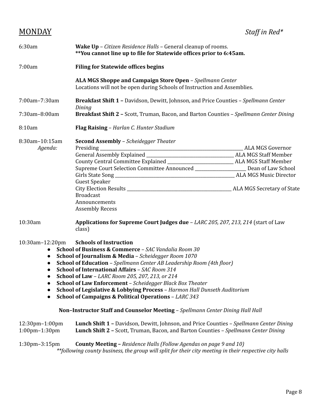| 6:30am                    | <b>Wake Up</b> – <i>Citizen Residence Halls</i> – General cleanup of rooms.<br>**You cannot line up to file for Statewide offices prior to 6:45am.                                                                           |                               |  |
|---------------------------|------------------------------------------------------------------------------------------------------------------------------------------------------------------------------------------------------------------------------|-------------------------------|--|
| 7:00am                    | <b>Filing for Statewide offices begins</b>                                                                                                                                                                                   |                               |  |
|                           | ALA MGS Shoppe and Campaign Store Open - Spellmann Center<br>Locations will not be open during Schools of Instruction and Assemblies.                                                                                        |                               |  |
| 7:00am-7:30am             | <b>Breakfast Shift 1 - Davidson, Dewitt, Johnson, and Price Counties - Spellmann Center</b><br>Dining                                                                                                                        |                               |  |
| 7:30am-8:00am             | Breakfast Shift 2 - Scott, Truman, Bacon, and Barton Counties - Spellmann Center Dining                                                                                                                                      |                               |  |
| 8:10am                    | Flag Raising - Harlan C. Hunter Stadium                                                                                                                                                                                      |                               |  |
| 8:30am-10:15am<br>Agenda: | <b>Second Assembly - Scheidegger Theater</b><br>Supreme Court Selection Committee Announced ______________________ Dean of Law School<br><b>Guest Speaker</b><br><b>Broadcast</b><br>Announcements<br><b>Assembly Recess</b> | <b>ALA MGS Music Director</b> |  |
| 10:30am                   | Applications for Supreme Court Judges due - LARC 205, 207, 213, 214 (start of Law<br>class)                                                                                                                                  |                               |  |

### 10:30am–12:20pm **Schools of Instruction**

- **School of Business & Commerce** *SAC Vandalia Room 30*
- **School of Journalism & Media** *Scheidegger Room 1070*
- **School of Education** *Spellmann Center AB Leadership Room (4th floor)*
- **School of International Affairs** *SAC Room 314*
- **School of Law** *LARC Room 205, 207, 213, or 214*
- **School of Law Enforcement** *Scheidegger Black Box Theater*
- **School of Legislative & Lobbying Process** *Harmon Hall Dunseth Auditorium*
- **School of Campaigns & Political Operations** *LARC 343*

### **Non–Instructor Staff and Counselor Meeting** – *Spellmann Center Dining Hall Hall*

12:30pm–1:00pm **Lunch Shift 1 –** Davidson, Dewitt, Johnson, and Price Counties – *Spellmann Center Dining* 1:00pm–1:30pm **Lunch Shift 2 –** Scott, Truman, Bacon, and Barton Counties – *Spellmann Center Dining*

### 1:30pm–3:15pm **County Meeting –** *Residence Halls (Follow Agendas on page 9 and 10) \*\*following county business, the group will split for their city meeting in their respective city halls*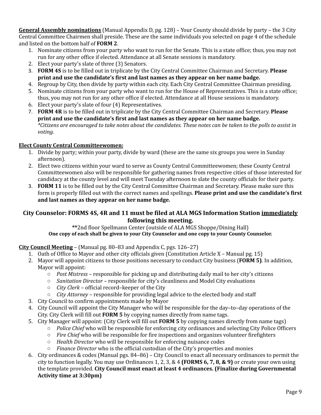**General Assembly nominations** (Manual Appendix D, pg. 128) – Your County should divide by party – the 3 City Central Committee Chairmen shall preside. These are the same individuals you selected on page 4 of the schedule and listed on the bottom half of **FORM 2**.

- 1. Nominate citizens from your party who want to run for the Senate. This is a state office; thus, you may not run for any other office if elected. Attendance at all Senate sessions is mandatory.
- 2. Elect your party's slate of three (3) Senators.
- 3. **FORM 4S** is to be filled out in triplicate by the City Central Committee Chairman and Secretary. **Please print and use the candidate's first and last names as they appear on her name badge.**
- 4. Regroup by City, then divide by party within each city. Each City Central Committee Chairman presiding.
- 5. Nominate citizens from your party who want to run for the House of Representatives. This is a state office; thus, you may not run for any other office if elected. Attendance at all House sessions is mandatory.
- 6. Elect your party's slate of four (4) Representatives.
- 7. **FORM 4R** is to be filled out in triplicate by the City Central Committee Chairman and Secretary. **Please print and use the candidate's first and last names as they appear on her name badge.** \*Citizens are encouraged to take notes about the candidates. These notes can be taken to the polls to assist in *voting.*

### **Elect County Central Committeewomen:**

- 1. Divide by party; within your party, divide by ward (these are the same six groups you were in Sunday afternoon).
- 2. Elect two citizens within your ward to serve as County Central Committeewomen; these County Central Committeewomen also will be responsible for gathering names from respective cities of those interested for candidacy at the county level and will meet Tuesday afternoon to slate the county officials for their party.
- 3. **FORM 11** is to be filled out by the City Central Committee Chairman and Secretary. Please make sure this form is properly filled out with the correct names and spellings. **Please print and use the candidate's first and last names as they appear on her name badge.**

### **City Counselor: FORMS 4S, 4R and 11 must be filed at ALA MGS Information Station immediately following this meeting.**

**\*\***2nd floor Spellmann Center (outside of ALA MGS Shoppe/Dining Hall) **One copy of each shall be given to your City Counselor and one copy to your County Counselor.**

### **City Council Meeting** – (Manual pg. 80–83 and Appendix C, pgs. 126–27)

- 1. Oath of Office to Mayor and other city officials given (Constitution Article X Manual pg. 15)
- 2. Mayor will appoint citizens to those positions necessary to conduct City business (**FORM 5)**. In addition, Mayor will appoint:
	- *Post Mistress* responsible for picking up and distributing daily mail to her city's citizens
	- *Sanitation Director –* responsible for city's cleanliness and Model City evaluations
	- *City Clerk* official record–keeper of the City
	- *City Attorney* responsible for providing legal advice to the elected body and staff
- 3. City Council to confirm appointments made by Mayor
- 4. City Council will appoint the City Manager who will be responsible for the day–to–day operations of the City. City Clerk will fill out **FORM 5** by copying names directly from name tags.
- 5. City Manager will appoint: (City Clerk will fill out **FORM 5** by copying names directly from name tags)
	- *Police Chief* who will be responsible for enforcing city ordinances and selecting City Police Officers
	- *Fire Chief* who will be responsible for fire inspections and organizes volunteer firefighters
	- *Health Director* who will be responsible for enforcing nuisance codes
	- *Finance Director* who is the official custodian of the City's properties and monies
- 6. City ordinances & codes (Manual pgs. 84–86) City Council to enact all necessary ordinances to permit the city to function legally. You may use Ordinances 1, 2, 3, & 4 **(FORMS 6, 7, 8, & 9)** or create your own using the template provided. **City Council must enact at least 4 ordinances. (Finalize during Governmental Activity time at 3:30pm)**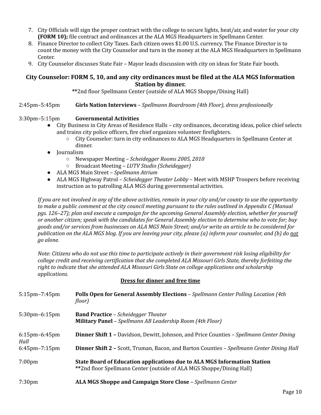- 7. City Officials will sign the proper contract with the college to secure lights, heat/air, and water for your city **(FORM 10);** file contract and ordinances at the ALA MGS Headquarters in Spellmann Center.
- 8. Finance Director to collect City Taxes. Each citizen owes \$1.00 U.S. currency. The Finance Director is to count the money with the City Counselor and turn in the money at the ALA MGS Headquarters in Spellmann Center.
- 9. City Counselor discusses State Fair Mayor leads discussion with city on ideas for State Fair booth.

### **City Counselor: FORM 5, 10, and any city ordinances must be filed at the ALA MGS Information Station by dinner.**

**\*\***2nd floor Spellmann Center (outside of ALA MGS Shoppe/Dining Hall)

2:45pm–5:45pm **Girls Nation Interviews** – *Spellmann Boardroom (4th Floor), dress professionally*

### 3:30pm–5:15pm **Governmental Activities**

- City Business in City Areas of Residence Halls city ordinances, decorating ideas, police chief selects and trains city police officers, fire chief organizes volunteer firefighters.
	- City Counselor: turn in city ordinances to ALA MGS Headquarters in Spellmann Center at dinner.
- Journalism
	- Newspaper Meeting *Scheidegger Rooms 2005, 2010*
	- Broadcast Meeting *LUTV Studio (Scheidegger)*
- ALA MGS Main Street *Spellmann Atrium*
- ALA MGS Highway Patrol *Scheidegger Theater Lobby* Meet with MSHP Troopers before receiving instruction as to patrolling ALA MGS during governmental activities.

If you are not involved in any of the above activities, remain in your city and/or county to use the opportunity to make a public comment at the city council meeting pursuant to the rules outlined in Appendix C (Manual *pgs. 126–27); plan and execute a campaign for the upcoming General Assembly election, whether for yourself* or another citizen; speak with the candidates for General Assembly election to determine who to vote for; buy goods and/or services from businesses on ALA MGS Main Street; and/or write an article to be considered for publication on the ALA MGS blog. If you are leaving your city, please (a) inform your counselor, and (b) do not *go alone.*

Note: Citizens who do not use this time to participate actively in their government risk losing eligibility for *college credit and receiving certification that she completed ALA Missouri Girls State, thereby forfeiting the right to indicate that she attended ALA Missouri Girls State on college applications and scholarship applications.*

### **Dress for dinner and free time**

| $5:15$ pm $-7:45$ pm         | <b>Polls Open for General Assembly Elections - Spellmann Center Polling Location (4th</b><br>floor)                                              |
|------------------------------|--------------------------------------------------------------------------------------------------------------------------------------------------|
| $5:30$ pm $-6:15$ pm         | <b>Band Practice</b> - Scheidegger Theater<br><b>Military Panel</b> - Spellmann AB Leadership Room (4th Floor)                                   |
| $6:15$ pm $-6:45$ pm<br>Hall | <b>Dinner Shift 1 - Davidson, Dewitt, Johnson, and Price Counties - Spellmann Center Dining</b>                                                  |
| $6:45$ pm $-7:15$ pm         | <b>Dinner Shift 2 - Scott, Truman, Bacon, and Barton Counties - Spellmann Center Dining Hall</b>                                                 |
| $7:00 \text{pm}$             | State Board of Education applications due to ALA MGS Information Station<br>**2nd floor Spellmann Center (outside of ALA MGS Shoppe/Dining Hall) |
| 7:30 <sub>pm</sub>           | ALA MGS Shoppe and Campaign Store Close - Spellmann Center                                                                                       |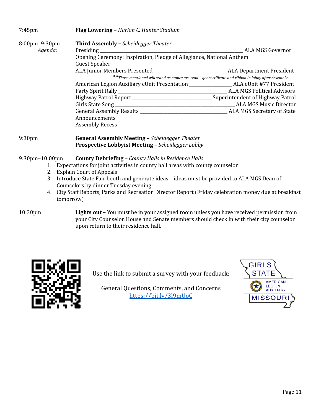| $7:45$ pm            | Flag Lowering - Harlan C. Hunter Stadium                                                               |                                                                                                      |
|----------------------|--------------------------------------------------------------------------------------------------------|------------------------------------------------------------------------------------------------------|
| $8:00$ pm $-9:30$ pm | <b>Third Assembly - Scheidegger Theater</b>                                                            |                                                                                                      |
| Agenda:              | Presiding<br>the control of the control of the control of the control of the control of the control of | <b>ALA MGS Governor</b>                                                                              |
|                      | Opening Ceremony: Inspiration, Pledge of Allegiance, National Anthem                                   |                                                                                                      |
|                      | <b>Guest Speaker</b>                                                                                   |                                                                                                      |
|                      |                                                                                                        | <b>ALA Department President</b>                                                                      |
|                      |                                                                                                        | ** Those mentioned will stand as names are read - get certificate and ribbon in lobby after Assembly |
|                      |                                                                                                        |                                                                                                      |
|                      |                                                                                                        | ALA MGS Political Advisors                                                                           |
|                      |                                                                                                        | Superintendent of Highway Patrol                                                                     |
|                      |                                                                                                        | <b>ALA MGS Music Director</b>                                                                        |
|                      | General Assembly Results <b>Server Assembly</b> Results                                                | ALA MGS Secretary of State                                                                           |
|                      | Announcements                                                                                          |                                                                                                      |
|                      | <b>Assembly Recess</b>                                                                                 |                                                                                                      |
|                      |                                                                                                        |                                                                                                      |

9:30pm **General Assembly Meeting** – *Scheidegger Theater* **Prospective Lobbyist Meeting** – *Scheidegger Lobby*

### 9:30pm–10:00pm **County Debriefing** – *County Halls in Residence Halls*

- 1. Expectations for joint activities in county hall areas with county counselor
- 2. Explain Court of Appeals
- 3. Introduce State Fair booth and generate ideas ideas must be provided to ALA MGS Dean of Counselors by dinner Tuesday evening
- 4. City Staff Reports, Parks and Recreation Director Report (Friday celebration money due at breakfast tomorrow)

10:30pm **Lights out –** You must be in your assigned room unless you have received permission from your City Counselor. House and Senate members should check in with their city counselor upon return to their residence hall.



Use the link to submit a survey with your feedback:

General Questions, Comments, and Concerns https://bit.ly/3l9mUoC

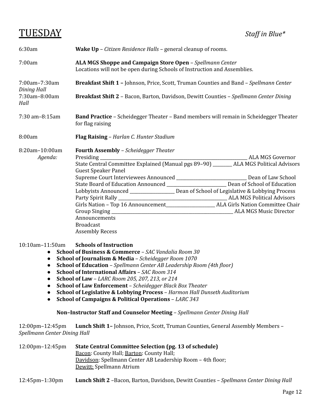## TUESDAY *Staf in Blue\**

| 6:30am                              | <b>Wake Up</b> – <i>Citizen Residence Halls</i> – general cleanup of rooms.                                                                                                                                                                                                                                                                                                                                                  |  |  |
|-------------------------------------|------------------------------------------------------------------------------------------------------------------------------------------------------------------------------------------------------------------------------------------------------------------------------------------------------------------------------------------------------------------------------------------------------------------------------|--|--|
| 7:00am                              | ALA MGS Shoppe and Campaign Store Open - Spellmann Center<br>Locations will not be open during Schools of Instruction and Assemblies.                                                                                                                                                                                                                                                                                        |  |  |
| 7:00am-7:30am<br><b>Dining Hall</b> | <b>Breakfast Shift 1 - Johnson, Price, Scott, Truman Counties and Band - Spellmann Center</b>                                                                                                                                                                                                                                                                                                                                |  |  |
| 7:30am-8:00am<br>Hall               | <b>Breakfast Shift 2</b> - Bacon, Barton, Davidson, Dewitt Counties - Spellmann Center Dining                                                                                                                                                                                                                                                                                                                                |  |  |
| 7:30 am-8:15am                      | Band Practice - Scheidegger Theater - Band members will remain in Scheidegger Theater<br>for flag raising                                                                                                                                                                                                                                                                                                                    |  |  |
| 8:00am                              | Flag Raising - Harlan C. Hunter Stadium                                                                                                                                                                                                                                                                                                                                                                                      |  |  |
| 8:20am-10:00am<br>Agenda:           | <b>Fourth Assembly - Scheidegger Theater</b><br>State Central Committee Explained (Manual pgs 89-90) _______ ALA MGS Political Advisors<br><b>Guest Speaker Panel</b><br>State Board of Education Announced __________________________ Dean of School of Education<br>Lobbyists Announced __________________ Dean of School of Legislative & Lobbying Process<br>Announcements<br><b>Broadcast</b><br><b>Assembly Recess</b> |  |  |

### 10:10am–11:50am **Schools of Instruction**

- **School of Business & Commerce** *SAC Vandalia Room 30*
- **School of Journalism & Media** *Scheidegger Room 1070*
- **School of Education** *Spellmann Center AB Leadership Room (4th floor)*
- **School of International Affairs** *SAC Room 314*
- **School of Law** *LARC Room 205, 207, 213, or 214*
- **School of Law Enforcement** *Scheidegger Black Box Theater*
- **School of Legislative & Lobbying Process** *Harmon Hall Dunseth Auditorium*
- **School of Campaigns & Political Operations** *LARC 343*

### **Non–Instructor Staff and Counselor Meeting** – *Spellmann Center Dining Hall*

12:00pm–12:45pm **Lunch Shift 1–** Johnson, Price, Scott, Truman Counties, General Assembly Members – *Spellmann Center Dining Hall*

| $12:00 \text{pm} - 12:45 \text{pm}$ | State Central Committee Selection (pg. 13 of schedule)     |  |  |
|-------------------------------------|------------------------------------------------------------|--|--|
|                                     | Bacon: County Hall; Barton: County Hall;                   |  |  |
|                                     | Davidson: Spellmann Center AB Leadership Room – 4th floor; |  |  |
|                                     | Dewitt: Spellmann Atrium                                   |  |  |

12:45pm–1:30pm **Lunch Shift 2** –Bacon, Barton, Davidson, Dewitt Counties – *Spellmann Center Dining Hall*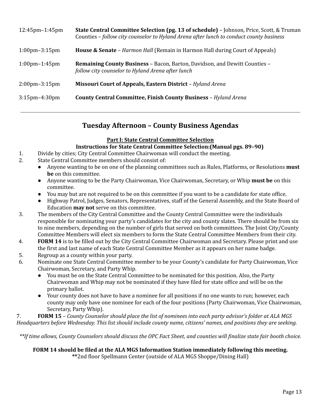| $12:45$ pm $-1:45$ pm             | <b>State Central Committee Selection (pg. 13 of schedule)</b> - Johnson, Price, Scott, & Truman<br>Counties - follow city counselor to Hyland Arena after lunch to conduct county business |
|-----------------------------------|--------------------------------------------------------------------------------------------------------------------------------------------------------------------------------------------|
| $1:00 \text{pm} - 3:15 \text{pm}$ | <b>House &amp; Senate</b> - <i>Harmon Hall</i> (Remain in Harmon Hall during Court of Appeals)                                                                                             |
| $1:00 \text{pm} - 1:45 \text{pm}$ | <b>Remaining County Business - Bacon, Barton, Davidson, and Dewitt Counties -</b><br>follow city counselor to Hyland Arena after lunch                                                     |
| $2:00 \text{pm} - 3:15 \text{pm}$ | Missouri Court of Appeals, Eastern District - Hyland Arena                                                                                                                                 |
| $3:15$ pm $-4:30$ pm              | <b>County Central Committee, Finish County Business - Hyland Arena</b>                                                                                                                     |

### **Tuesday Afternoon – County Business Agendas**

### **Part I: State Central Committee Selection**

### **Instructions for State Central Committee Selection:(Manual pgs. 89–90)**

- 1. Divide by cities; City Central Committee Chairwoman will conduct the meeting.
- 2. State Central Committee members should consist of:
	- Anyone wanting to be on one of the planning committees such as Rules, Platforms, or Resolutions **must be** on this committee.
	- Anyone wanting to be the Party Chairwoman, Vice Chairwoman, Secretary, or Whip **must be** on this committee.
	- You may but are not required to be on this committee if you want to be a candidate for state office.
	- Highway Patrol, Judges, Senators, Representatives, staff of the General Assembly, and the State Board of Education **may not** serve on this committee.
- 3. The members of the City Central Committee and the County Central Committee were the individuals responsible for nominating your party's candidates for the city and county slates. There should be from six to nine members, depending on the number of girls that served on both committees. The Joint City/County Committee Members will elect six members to form the State Central Committee Members from their city.
- 4. **FORM 14** is to be filled out by the City Central Committee Chairwoman and Secretary. Please print and use the first and last name of each State Central Committee Member as it appears on her name badge.
- 5. Regroup as a county within your party.
- 6. Nominate one State Central Committee member to be your County's candidate for Party Chairwoman, Vice Chairwoman, Secretary, and Party Whip.
	- You must be on the State Central Committee to be nominated for this position. Also, the Party Chairwoman and Whip may not be nominated if they have filed for state office and will be on the primary ballot.
	- Your county does not have to have a nominee for all positions if no one wants to run; however, each county may only have one nominee for each of the four positions (Party Chairwoman, Vice Chairwoman, Secretary, Party Whip).

7. FORM 15 - County Counselor should place the list of nominees into each party advisor's folder at ALA MGS Headquarters before Wednesday. This list should include county name, citizens' names, and positions they are seeking.

\*\*If time allows, County Counselors should discuss the OPC Fact Sheet, and counties will finalize state fair booth choice.

## **FORM 14 should be filed at the ALA MGS Information Station immediately following this meeting.**

**\*\***2nd floor Spellmann Center (outside of ALA MGS Shoppe/Dining Hall)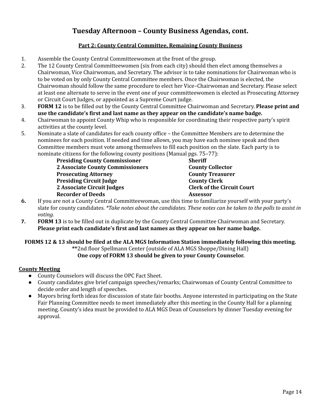### **Tuesday Afternoon – County Business Agendas, cont.**

### **Part 2: County Central Committee, Remaining County Business**

- 1. Assemble the County Central Committeewomen at the front of the group.
- 2. The 12 County Central Committeewomen (six from each city) should then elect among themselves a Chairwoman, Vice Chairwoman, and Secretary. The advisor is to take nominations for Chairwoman who is to be voted on by only County Central Committee members. Once the Chairwoman is elected, the Chairwoman should follow the same procedure to elect her Vice–Chairwoman and Secretary. Please select at least one alternate to serve in the event one of your committeewomen is elected as Prosecuting Attorney or Circuit Court Judges, or appointed as a Supreme Court judge.
- 3. **FORM 12** is to be filled out by the County Central Committee Chairwoman and Secretary. **Please print and use the candidate's first and last name as they appear on the candidate's name badge.**
- 4. Chairwoman to appoint County Whip who is responsible for coordinating their respective party's spirit activities at the county level.
- 5. Nominate a slate of candidates for each county office the Committee Members are to determine the nominees for each position. If needed and time allows, you may have each nominee speak and then Committee members must vote among themselves to fill each position on the slate. Each party is to nominate citizens for the following county positions (Manual pgs. 75–77):

| <b>Presiding County Commissioner</b>    | <b>Sheriff</b>  |                                   |
|-----------------------------------------|-----------------|-----------------------------------|
| <b>2 Associate County Commissioners</b> |                 | <b>County Collector</b>           |
| <b>Prosecuting Attorney</b>             |                 | <b>County Treasurer</b>           |
| <b>Presiding Circuit Judge</b>          |                 | <b>County Clerk</b>               |
| 2 Associate Circuit Judges              |                 | <b>Clerk of the Circuit Court</b> |
| <b>Recorder of Deeds</b>                | <b>Assessor</b> |                                   |
|                                         |                 |                                   |

- **6.** If you are not a County Central Committeewoman, use this time to familiarize yourself with your party's slate for county candidates. \*Take notes about the candidates. These notes can be taken to the polls to assist in *voting.*
- **7. FORM 13** is to be filled out in duplicate by the County Central Committee Chairwoman and Secretary. **Please print each candidate's first and last names as they appear on her name badge.**

### **FORMS 12 & 13 should be filed at the ALA MGS Information Station immediately following this meeting. \*\***2nd floor Spellmann Center (outside of ALA MGS Shoppe/Dining Hall) **One copy of FORM 13 should be given to your County Counselor.**

### **County Meeting**

- County Counselors will discuss the OPC Fact Sheet.
- County candidates give brief campaign speeches/remarks; Chairwoman of County Central Committee to decide order and length of speeches.
- Mayors bring forth ideas for discussion of state fair booths. Anyone interested in participating on the State Fair Planning Committee needs to meet immediately after this meeting in the County Hall for a planning meeting. County's idea must be provided to ALA MGS Dean of Counselors by dinner Tuesday evening for approval.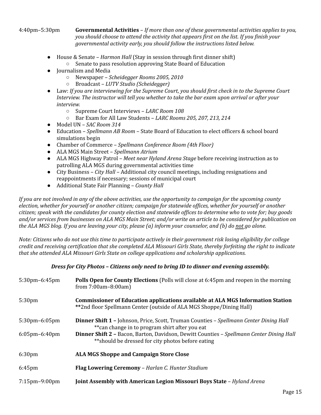4:40pm–5:30pm **Governmental Activities** – *If more than one of these governmental activities applies to you, you should choose to attend the activity that appears first on the list. If you finish your governmental activity early, you should follow the instructions listed below.*

- House & Senate *Harmon Hall* (Stay in session through first dinner shift)
	- Senate to pass resolution approving State Board of Education
- Journalism and Media
	- Newspaper *Scheidegger Rooms 2005, 2010*
	- Broadcast *LUTV Studio (Scheidegger)*
- Law: *If you are interviewing for the Supreme Court, you should first check in to the Supreme Court Interview. The instructor will tell you whether to take the bar exam upon arrival or after your interview.*
	- Supreme Court Interviews *LARC Room 108*
	- Bar Exam for All Law Students *LARC Rooms 205, 207, 213, 214*
- Model UN *SAC Room 314*
- Education *Spellmann AB Room* State Board of Education to elect officers & school board simulations begin
- Chamber of Commerce *Spellmann Conference Room (4th Floor)*
- ALA MGS Main Street *Spellmann Atrium*
- ALA MGS Highway Patrol *Meet near Hyland Arena Stage* before receiving instruction as to patrolling ALA MGS during governmental activities time
- City Business *City Hall –* Additional city council meetings, including resignations and reappointments if necessary; sessions of municipal court
- Additional State Fair Planning *County Hall*

If you are not involved in any of the above activities, use the opportunity to campaign for the upcoming county election, whether for yourself or another citizen; campaign for statewide offices, whether for yourself or another citizen; speak with the candidates for county election and statewide offices to determine who to vote for; buy goods and/or services from businesses on ALA MGS Main Street; and/or write an article to be considered for publication on the ALA MGS blog. If you are leaving your city, please (a) inform your counselor, and (b) do not go alone.

Note: Citizens who do not use this time to participate actively in their government risk losing eligibility for college credit and receiving certification that she completed ALA Missouri Girls State, thereby forfeiting the right to indicate *that she attended ALA Missouri Girls State on college applications and scholarship applications.*

### *Dress for City Photos – Citizens only need to bring ID to dinner and evening assembly.*

| $5:30$ pm $-6:45$ pm | <b>Polls Open for County Elections</b> (Polls will close at 6:45pm and reopen in the morning<br>from $7:00am - 8:00am$                                         |  |
|----------------------|----------------------------------------------------------------------------------------------------------------------------------------------------------------|--|
| 5:30 <sub>pm</sub>   | <b>Commissioner of Education applications available at ALA MGS Information Station</b><br>**2nd floor Spellmann Center (outside of ALA MGS Shoppe/Dining Hall) |  |
| $5:30$ pm $-6:05$ pm | <b>Dinner Shift 1 - Johnson, Price, Scott, Truman Counties - Spellmann Center Dining Hall</b><br>** can change in to program shirt after you eat               |  |
| $6:05$ pm $-6:40$ pm | <b>Dinner Shift 2 - Bacon, Barton, Davidson, Dewitt Counties - Spellmann Center Dining Hall</b><br>**should be dressed for city photos before eating           |  |
| 6:30 <sub>pm</sub>   | <b>ALA MGS Shoppe and Campaign Store Close</b>                                                                                                                 |  |
| $6:45$ pm            | Flag Lowering Ceremony - Harlan C. Hunter Stadium                                                                                                              |  |
| $7:15$ pm $-9:00$ pm | <b>Joint Assembly with American Legion Missouri Boys State – Hyland Arena</b>                                                                                  |  |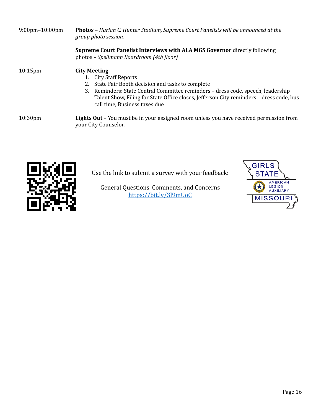| $9:00 \text{pm} - 10:00 \text{pm}$ | <b>Photos</b> – Harlan C. Hunter Stadium, Supreme Court Panelists will be announced at the<br>group photo session.                                                                                                                                                                                                    |  |
|------------------------------------|-----------------------------------------------------------------------------------------------------------------------------------------------------------------------------------------------------------------------------------------------------------------------------------------------------------------------|--|
|                                    | <b>Supreme Court Panelist Interviews with ALA MGS Governor directly following</b><br>photos - Spellmann Boardroom (4th floor)                                                                                                                                                                                         |  |
| $10:15$ pm                         | <b>City Meeting</b><br>1. City Staff Reports<br>State Fair Booth decision and tasks to complete<br>2.<br>3. Reminders: State Central Committee reminders - dress code, speech, leadership<br>Talent Show, Filing for State Office closes, Jefferson City reminders – dress code, bus<br>call time, Business taxes due |  |
| 10:30 <sub>pm</sub>                | <b>Lights Out</b> – You must be in your assigned room unless you have received permission from<br>your City Counselor.                                                                                                                                                                                                |  |



Use the link to submit a survey with your feedback:

General Questions, Comments, and Concerns https://bit.ly/3l9mUoC

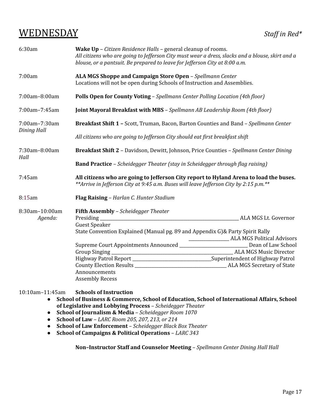## WEDNESDAY *Staf in Red\**

| 6:30am                    | <b>Wake Up</b> – <i>Citizen Residence Halls</i> – general cleanup of rooms.<br>All citizens who are going to Jefferson City must wear a dress, slacks and a blouse, skirt and a<br>blouse, or a pantsuit. Be prepared to leave for Jefferson City at 8:00 a.m. |                                                   |
|---------------------------|----------------------------------------------------------------------------------------------------------------------------------------------------------------------------------------------------------------------------------------------------------------|---------------------------------------------------|
| 7:00am                    | ALA MGS Shoppe and Campaign Store Open - Spellmann Center<br>Locations will not be open during Schools of Instruction and Assemblies.                                                                                                                          |                                                   |
| 7:00am-8:00am             | Polls Open for County Voting - Spellmann Center Polling Location (4th floor)                                                                                                                                                                                   |                                                   |
| 7:00am-7:45am             | Joint Mayoral Breakfast with MBS - Spellmann AB Leadership Room (4th floor)                                                                                                                                                                                    |                                                   |
| 7:00am-7:30am             | Breakfast Shift 1 - Scott, Truman, Bacon, Barton Counties and Band - Spellmann Center                                                                                                                                                                          |                                                   |
| <b>Dining Hall</b>        | All citizens who are going to Jefferson City should eat first breakfast shift                                                                                                                                                                                  |                                                   |
| 7:30am-8:00am<br>Hall     | Breakfast Shift 2 - Davidson, Dewitt, Johnson, Price Counties - Spellmann Center Dining                                                                                                                                                                        |                                                   |
|                           | <b>Band Practice</b> - Scheidegger Theater (stay in Scheidegger through flag raising)                                                                                                                                                                          |                                                   |
| 7:45am                    | All citizens who are going to Jefferson City report to Hyland Arena to load the buses.<br>**Arrive in Jefferson City at 9:45 a.m. Buses will leave Jefferson City by 2:15 p.m.**                                                                               |                                                   |
| 8:15am                    | Flag Raising - Harlan C. Hunter Stadium                                                                                                                                                                                                                        |                                                   |
| 8:30am-10:00am<br>Agenda: | <b>Fifth Assembly - Scheidegger Theater</b><br>Presiding<br><b>Guest Speaker</b>                                                                                                                                                                               | ALA MGS Lt. Governor                              |
|                           | State Convention Explained (Manual pg. 89 and Appendix G)& Party Spirit Rally                                                                                                                                                                                  | ______________________ ALA MGS Political Advisors |
|                           | Supreme Court Appointments Announced ___________________________ Dean of Law School                                                                                                                                                                            |                                                   |
|                           | Group Singing                                                                                                                                                                                                                                                  |                                                   |
|                           | Highway Patrol Report ________________________________Superintendent of Highway Patrol                                                                                                                                                                         |                                                   |
|                           |                                                                                                                                                                                                                                                                |                                                   |
|                           | Announcements                                                                                                                                                                                                                                                  |                                                   |
|                           | <b>Assembly Recess</b>                                                                                                                                                                                                                                         |                                                   |

10:10am–11:45am **Schools of Instruction**

- **School of Business & Commerce, School of Education, School of International Affairs, School of Legislative and Lobbying Process** – *Scheidegger Theater*
- **School of Journalism & Media** *Scheidegger Room 1070*
- **School of Law** *LARC Room 205, 207, 213, or 214*
- **School of Law Enforcement** *Scheidegger Black Box Theater*
- **School of Campaigns & Political Operations** *LARC 343*

**Non–Instructor Staff and Counselor Meeting** – *Spellmann Center Dining Hall Hall*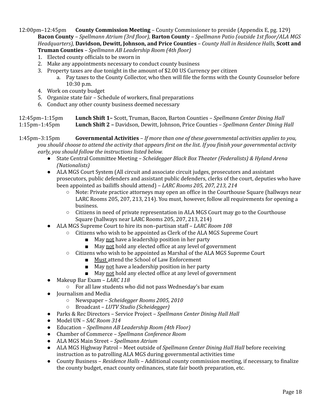12:00pm–12:45pm **County Commission Meeting** – County Commissioner to preside (Appendix E, pg. 129) **Bacon County** *– Spellmann Atrium (3rd floor),* **Barton County** *– Spellmann Patio (outside 1st floor/ALA MGS Headquarters),* **Davidson, Dewitt, Johnson, and Price Counties** *– County Hall in Residence Halls,* **Scott and Truman Counties** *– Spellmann AB Leadership Room (4th floor)*

- 1. Elected county officials to be sworn in
- 2. Make any appointments necessary to conduct county business
- 3. Property taxes are due tonight in the amount of \$2.00 US Currency per citizen
	- a. Pay taxes to the County Collector, who then will file the forms with the County Counselor before 10:30 p.m.
- 4. Work on county budget
- 5. Organize state fair Schedule of workers, final preparations
- 6. Conduct any other county business deemed necessary

### 12:45pm–1:15pm **Lunch Shift 1–** Scott, Truman, Bacon, Barton Counties – *Spellmann Center Dining Hall* 1:15pm–1:45pm **Lunch Shift 2 –** Davidson, Dewitt, Johnson, Price Counties – *Spellmann Center Dining Hall*

- 1:45pm–3:15pm **Governmental Activities** *If more than one of these governmental activities applies to you,* you should choose to attend the activity that appears first on the list. If you finish your governmental activity *early, you should follow the instructions listed below.*
	- State Central Committee Meeting *Scheidegger Black Box Theater (Federalists) & Hyland Arena (Nationalists)*
	- ALA MGS Court System (All circuit and associate circuit judges, prosecutors and assistant prosecutors, public defenders and assistant public defenders, clerks of the court, deputies who have been appointed as bailiffs should attend) – *LARC Rooms 205, 207, 213, 214*
		- Note: Private practice attorneys may open an office in the Courthouse Square (hallways near LARC Rooms 205, 207, 213, 214). You must, however, follow all requirements for opening a business.
		- Citizens in need of private representation in ALA MGS Court may go to the Courthouse Square (hallways near LARC Rooms 205, 207, 213, 214)
	- ALA MGS Supreme Court to hire its non–partisan staff *LARC Room 108*
		- Citizens who wish to be appointed as Clerk of the ALA MGS Supreme Court
			- May not have a leadership position in her party
			- May not hold any elected office at any level of government
		- Citizens who wish to be appointed as Marshal of the ALA MGS Supreme Court
			- Must attend the School of Law Enforcement
			- May not have a leadership position in her party
			- May not hold any elected office at any level of government
	- Makeup Bar Exam *LARC 118*
		- For all law students who did not pass Wednesday's bar exam
	- Journalism and Media
		- Newspaper *Scheidegger Rooms 2005, 2010*
		- Broadcast *LUTV Studio (Scheidegger)*
	- Parks & Rec Directors Service Project *Spellmann Center Dining Hall Hall*
	- Model UN *SAC Room 314*
	- Education *Spellmann AB Leadership Room (4th Floor)*
	- Chamber of Commerce *Spellmann Conference Room*
	- ALA MGS Main Street *Spellmann Atrium*
	- ALA MGS Highway Patrol Meet outside of *Spellmann Center Dining Hall Hall* before receiving instruction as to patrolling ALA MGS during governmental activities time
	- County Business *Residence Halls –* Additional county commission meeting, if necessary, to finalize the county budget, enact county ordinances, state fair booth preparation, etc.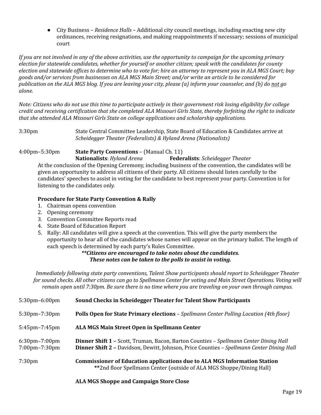● City Business – *Residence Halls –* Additional city council meetings, including enacting new city ordinances, receiving resignations, and making reappointments if necessary; sessions of municipal court

If you are not involved in any of the above activities, use the opportunity to campaign for the upcoming primary *election for statewide candidates, whether for yourself or another citizen; speak with the candidates for county* election and statewide offices to determine who to vote for; hire an attorney to represent you in ALA MGS Court; buy goods and/or services from businesses on ALA MGS Main Street; and/or write an article to be considered for publication on the ALA MGS blog. If you are leaving your city, please (a) inform your counselor, and (b) do not go *alone.*

Note: Citizens who do not use this time to participate actively in their government risk losing eligibility for college credit and receiving certification that she completed ALA Missouri Girls State, thereby forfeiting the right to indicate *that she attended ALA Missouri Girls State on college applications and scholarship applications.*

3:30pm State Central Committee Leadership, State Board of Education & Candidates arrive at *Scheidegger Theater (Federalists) & Hyland Arena (Nationalists)*

### 4:00pm–5:30pm **State Party Conventions** – (Manual Ch. 11)

**Nationalists**: *Hyland Arena* **Federalists**: *Scheidegger Theater* At the conclusion of the Opening Ceremony, including business of the convention, the candidates will be given an opportunity to address all citizens of their party. All citizens should listen carefully to the candidates' speeches to assist in voting for the candidate to best represent your party. Convention is for listening to the candidates only.

### **Procedure for State Party Convention & Rally**

- 1. Chairman opens convention
- 2. Opening ceremony
- 3. Convention Committee Reports read
- 4. State Board of Education Report
- 5. Rally: All candidates will give a speech at the convention. This will give the party members the opportunity to hear all of the candidates whose names will appear on the primary ballot. The length of each speech is determined by each party's Rules Committee.

### *\*\*Citizens are encouraged to take notes about the candidates. These notes can be taken to the polls to assist in voting.*

*Immediately following state party conventions, Talent Show participants should report to Scheidegger Theater* for sound checks. All other citizens can go to Spellmann Center for voting and Main Street Operations. Voting will remain open until 7:30pm. Be sure there is no time where you are traveling on your own through campus.

| $5:30$ pm $-6:00$ pm                                      | Sound Checks in Scheidegger Theater for Talent Show Participants                                                                                                                          |
|-----------------------------------------------------------|-------------------------------------------------------------------------------------------------------------------------------------------------------------------------------------------|
| $5:30$ pm $-7:30$ pm                                      | <b>Polls Open for State Primary elections - Spellmann Center Polling Location (4th floor)</b>                                                                                             |
| $5:45$ pm $-7:45$ pm                                      | ALA MGS Main Street Open in Spellmann Center                                                                                                                                              |
| $6:30$ pm $-7:00$ pm<br>$7:00 \text{pm} - 7:30 \text{pm}$ | <b>Dinner Shift 1 - Scott, Truman, Bacon, Barton Counties - Spellmann Center Dining Hall</b><br>Dinner Shift 2 - Davidson, Dewitt, Johnson, Price Counties - Spellmann Center Dining Hall |
| 7:30 <sub>pm</sub>                                        | <b>Commissioner of Education applications due to ALA MGS Information Station</b><br>**2nd floor Spellmann Center (outside of ALA MGS Shoppe/Dining Hall)                                  |

### **ALA MGS Shoppe and Campaign Store Close**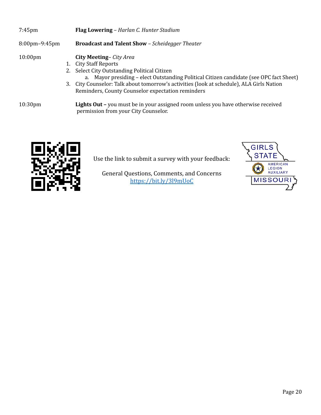| $7:45$ pm            | <b>Flag Lowering – Harlan C. Hunter Stadium</b>                                                                                                                                                                                                                                                                                                     |  |
|----------------------|-----------------------------------------------------------------------------------------------------------------------------------------------------------------------------------------------------------------------------------------------------------------------------------------------------------------------------------------------------|--|
| $8:00$ pm $-9:45$ pm | <b>Broadcast and Talent Show - Scheidegger Theater</b>                                                                                                                                                                                                                                                                                              |  |
| $10:00$ pm           | <b>City Meeting-</b> City Area<br>1. City Staff Reports<br>2. Select City Outstanding Political Citizen<br>a. Mayor presiding - elect Outstanding Political Citizen candidate (see OPC fact Sheet)<br>3. City Counselor: Talk about tomorrow's activities (look at schedule), ALA Girls Nation<br>Reminders, County Counselor expectation reminders |  |
| 10:30 <sub>pm</sub>  | Lights Out - you must be in your assigned room unless you have otherwise received<br>permission from your City Counselor.                                                                                                                                                                                                                           |  |



Use the link to submit a survey with your feedback:

General Questions, Comments, and Concerns https://bit.ly/3l9mUoC

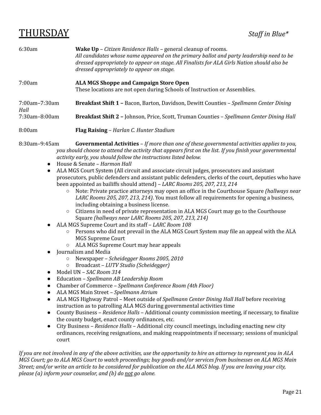## THURSDAY *Staf in Blue\**

| 6:30am                | <b>Wake Up</b> – <i>Citizen Residence Halls</i> – general cleanup of rooms.<br>All candidates whose name appeared on the primary ballot and party leadership need to be<br>dressed appropriately to appear on stage. All Finalists for ALA Girls Nation should also be<br>dressed appropriately to appear on stage. |
|-----------------------|---------------------------------------------------------------------------------------------------------------------------------------------------------------------------------------------------------------------------------------------------------------------------------------------------------------------|
| 7:00am                | <b>ALA MGS Shoppe and Campaign Store Open</b><br>These locations are not open during Schools of Instruction or Assemblies.                                                                                                                                                                                          |
| 7:00am-7:30am<br>Hall | <b>Breakfast Shift 1 - Bacon, Barton, Davidson, Dewitt Counties - Spellmann Center Dining</b>                                                                                                                                                                                                                       |
| $7:30$ am $-8:00$ am  | <b>Breakfast Shift 2 - Johnson, Price, Scott, Truman Counties - Spellmann Center Dining Hall</b>                                                                                                                                                                                                                    |
| 8:00am                | <b>Flag Raising – Harlan C. Hunter Stadium</b>                                                                                                                                                                                                                                                                      |

- 8:30am–9:45am **Governmental Activities** *If more than one of these governmental activities applies to you,* you should choose to attend the activity that appears first on the list. If you finish your governmental *activity early, you should follow the instructions listed below.*
	- House & Senate *Harmon Hall*
	- ALA MGS Court System (All circuit and associate circuit judges, prosecutors and assistant prosecutors, public defenders and assistant public defenders, clerks of the court, deputies who have been appointed as bailiffs should attend) – *LARC Rooms 205, 207, 213, 214*
		- Note: Private practice attorneys may open an office in the Courthouse Square *(hallways near LARC Rooms 205, 207, 213, 214)*. You must follow all requirements for opening a business, including obtaining a business license.
		- Citizens in need of private representation in ALA MGS Court may go to the Courthouse Square *(hallways near LARC Rooms 205, 207, 213, 214)*
	- ALA MGS Supreme Court and its staff *LARC Room 108*
		- Persons who did not prevail in the ALA MGS Court System may file an appeal with the ALA MGS Supreme Court
		- ALA MGS Supreme Court may hear appeals
	- Journalism and Media
		- Newspaper *Scheidegger Rooms 2005, 2010*
		- Broadcast *LUTV Studio (Scheidegger)*
	- Model UN *SAC Room 314*
	- Education *Spellmann AB Leadership Room*
	- Chamber of Commerce *Spellmann Conference Room (4th Floor)*
	- ALA MGS Main Street *Spellmann Atrium*
	- ALA MGS Highway Patrol Meet outside of *Spellmann Center Dining Hall Hall* before receiving instruction as to patrolling ALA MGS during governmental activities time
	- County Business *Residence Halls –* Additional county commission meeting, if necessary, to finalize the county budget, enact county ordinances, etc.
	- City Business *Residence Halls –* Additional city council meetings, including enacting new city ordinances, receiving resignations, and making reappointments if necessary; sessions of municipal court

If you are not involved in any of the above activities, use the opportunity to hire an attorney to represent you in ALA MGS Court; go to ALA MGS Court to watch proceedings; buy goods and/or services from businesses on ALA MGS Main Street; and/or write an article to be considered for publication on the ALA MGS blog. If you are leaving your city, *please (a) inform your counselor, and (b) do not go alone.*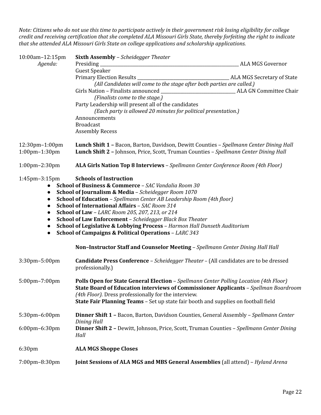Note: Citizens who do not use this time to participate actively in their government risk losing eligibility for college credit and receiving certification that she completed ALA Missouri Girls State, thereby forfeiting the right to indicate *that she attended ALA Missouri Girls State on college applications and scholarship applications.*

| 10:00am-12:15pm                        | <b>Sixth Assembly - Scheidegger Theater</b>                                                                                                                                             |                         |
|----------------------------------------|-----------------------------------------------------------------------------------------------------------------------------------------------------------------------------------------|-------------------------|
| Agenda:                                | Presiding_                                                                                                                                                                              | <b>ALA MGS Governor</b> |
|                                        | <b>Guest Speaker</b>                                                                                                                                                                    |                         |
|                                        |                                                                                                                                                                                         |                         |
|                                        | (All Candidates will come to the stage after both parties are called.)                                                                                                                  |                         |
|                                        |                                                                                                                                                                                         | ALA GN Committee Chair  |
|                                        | (Finalists come to the stage.)                                                                                                                                                          |                         |
|                                        | Party Leadership will present all of the candidates                                                                                                                                     |                         |
|                                        | (Each party is allowed 20 minutes for political presentation.)                                                                                                                          |                         |
|                                        | Announcements                                                                                                                                                                           |                         |
|                                        | <b>Broadcast</b>                                                                                                                                                                        |                         |
|                                        | <b>Assembly Recess</b>                                                                                                                                                                  |                         |
| 12:30pm-1:00pm<br>$1:00$ pm $-1:30$ pm | <b>Lunch Shift 1 - Bacon, Barton, Davidson, Dewitt Counties - Spellmann Center Dining Hall</b><br>Lunch Shift 2 - Johnson, Price, Scott, Truman Counties - Spellmann Center Dining Hall |                         |
| 1:00pm-2:30pm                          | ALA Girls Nation Top 8 Interviews - Spellmann Center Conference Room (4th Floor)                                                                                                        |                         |
| $1:45$ pm $-3:15$ pm                   | <b>Schools of Instruction</b>                                                                                                                                                           |                         |
|                                        | School of Business & Commerce - SAC Vandalia Room 30                                                                                                                                    |                         |
|                                        | School of Journalism & Media - Scheidegger Room 1070                                                                                                                                    |                         |
| $\bullet$                              | <b>School of Education</b> - Spellmann Center AB Leadership Room (4th floor)                                                                                                            |                         |
| $\bullet$                              | School of International Affairs - SAC Room 314                                                                                                                                          |                         |
| $\bullet$                              | School of Law - LARC Room 205, 207, 213, or 214                                                                                                                                         |                         |
| $\bullet$                              | School of Law Enforcement - Scheidegger Black Box Theater                                                                                                                               |                         |
|                                        | School of Legislative & Lobbying Process - Harmon Hall Dunseth Auditorium                                                                                                               |                         |
| $\bullet$                              | <b>School of Campaigns &amp; Political Operations - LARC 343</b>                                                                                                                        |                         |
|                                        | Non-Instructor Staff and Counselor Meeting - Spellmann Center Dining Hall Hall                                                                                                          |                         |
| 3:30pm-5:00pm                          | <b>Candidate Press Conference</b> - <i>Scheidegger Theater</i> - (All candidates are to be dressed                                                                                      |                         |
|                                        | professionally.)                                                                                                                                                                        |                         |
|                                        |                                                                                                                                                                                         |                         |
| 5:00pm-7:00pm                          | Polls Open for State General Election - Spellmann Center Polling Location (4th Floor)                                                                                                   |                         |
|                                        | <b>State Board of Education interviews of Commissioner Applicants - Spellman Boardroom</b>                                                                                              |                         |
|                                        | (4th Floor). Dress professionally for the interview.                                                                                                                                    |                         |
|                                        | <b>State Fair Planning Teams</b> - Set up state fair booth and supplies on football field                                                                                               |                         |
| 5:30pm-6:00pm                          | Dinner Shift 1 - Bacon, Barton, Davidson Counties, General Assembly - Spellmann Center                                                                                                  |                         |
|                                        | Dining Hall                                                                                                                                                                             |                         |
| 6:00pm-6:30pm                          | <b>Dinner Shift 2 - Dewitt, Johnson, Price, Scott, Truman Counties - Spellmann Center Dining</b>                                                                                        |                         |
|                                        | Hall                                                                                                                                                                                    |                         |
| 6:30pm                                 | <b>ALA MGS Shoppe Closes</b>                                                                                                                                                            |                         |
| 7:00pm-8:30pm                          | Joint Sessions of ALA MGS and MBS General Assemblies (all attend) - Hyland Arena                                                                                                        |                         |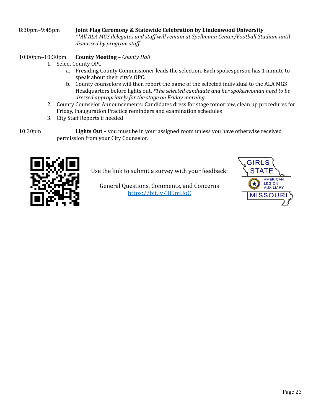### 8:30pm–9:45pm **Joint Flag Ceremony & Statewide Celebration by Lindenwood University** *\*\*All ALA MGS delegates and staf will remain at Spellmann Center/Football Stadium until dismissed by program staf*

### 10:00pm–10:30pm **County Meeting –** *County Hall*

- 1. Select County OPC
	- a. Presiding County Commissioner leads the selection. Each spokesperson has 1 minute to speak about their city's OPC.
	- b. County counselors will then report the name of the selected individual to the ALA MGS Headquarters before lights out. *\*The selected candidate and her spokeswoman need to be dressed appropriately for the stage on Friday morning.*
- 2. County Counselor Announcements: Candidates dress for stage tomorrow, clean up procedures for Friday, Inauguration Practice reminders and examination schedules
- 3. City Staff Reports if needed

10:30pm **Lights Out –** you must be in your assigned room unless you have otherwise received permission from your City Counselor.



Use the link to submit a survey with your feedback:

General Questions, Comments, and Concerns https://bit.ly/3l9mUoC

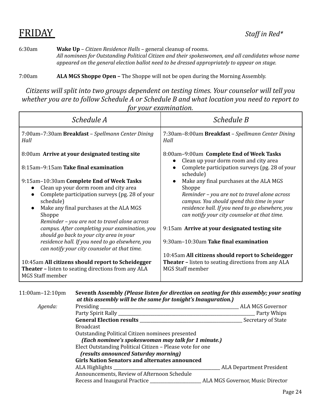# **FRIDAY** *Staff in Red\**

6:30am **Wake Up** – *Citizen Residence Halls –* general cleanup of rooms. *All nominees for Outstanding Political Citizen and their spokeswomen, and all candidates whose name appeared on the general election ballot need to be dressed appropriately to appear on stage.*

7:00am **ALA MGS Shoppe Open –** The Shoppe will not be open during the Morning Assembly.

*Citizens will split into two groups dependent on testing times. Your counselor will tell you whether you are to follow Schedule A or Schedule B and what location you need to report to for your examination.*

| Schedule A                                                                                                                                                                                   | Schedule B                                                                                                                                                                                           |  |
|----------------------------------------------------------------------------------------------------------------------------------------------------------------------------------------------|------------------------------------------------------------------------------------------------------------------------------------------------------------------------------------------------------|--|
| 7:00am-7:30am Breakfast - Spellmann Center Dining<br>Hall                                                                                                                                    | 7:30am-8:00am Breakfast - Spellmann Center Dining<br>Hall                                                                                                                                            |  |
| 8:00am Arrive at your designated testing site                                                                                                                                                | 8:00am-9:00am Complete End of Week Tasks                                                                                                                                                             |  |
| 8:15am-9:15am Take final examination                                                                                                                                                         | Clean up your dorm room and city area<br>Complete participation surveys (pg. 28 of your<br>schedule)                                                                                                 |  |
| 9:15am-10:30am Complete End of Week Tasks<br>Clean up your dorm room and city area<br>Complete participation surveys (pg. 28 of your<br>schedule)<br>Make any final purchases at the ALA MGS | Make any final purchases at the ALA MGS<br>Shoppe<br>Reminder - you are not to travel alone across<br>campus. You should spend this time in your<br>residence hall. If you need to go elsewhere, you |  |
| Shoppe<br>Reminder - you are not to travel alone across                                                                                                                                      | can notify your city counselor at that time.                                                                                                                                                         |  |
| campus. After completing your examination, you<br>should go back to your city area in your                                                                                                   | 9:15am Arrive at your designated testing site                                                                                                                                                        |  |
| residence hall. If you need to go elsewhere, you<br>can notify your city counselor at that time.                                                                                             | 9:30am-10:30am Take final examination                                                                                                                                                                |  |
|                                                                                                                                                                                              | 10:45am All citizens should report to Scheidegger                                                                                                                                                    |  |
| 10:45am All citizens should report to Scheidegger<br><b>Theater - listen to seating directions from any ALA</b><br><b>MGS Staff member</b>                                                   | <b>Theater - listen to seating directions from any ALA</b><br><b>MGS Staff member</b>                                                                                                                |  |

| $11:00$ am $-12:10$ pm | Seventh Assembly (Please listen for direction on seating for this assembly; your seating<br>at this assembly will be the same for tonight's Inauguration.)                                                                     |                                 |
|------------------------|--------------------------------------------------------------------------------------------------------------------------------------------------------------------------------------------------------------------------------|---------------------------------|
| Agenda:                | Presiding<br>the control of the control of the control of the control of the control of                                                                                                                                        | ALA MGS Governor                |
|                        |                                                                                                                                                                                                                                |                                 |
|                        |                                                                                                                                                                                                                                | Secretary of State              |
|                        | <b>Broadcast</b>                                                                                                                                                                                                               |                                 |
|                        | Outstanding Political Citizen nominees presented<br>(Each nominee's spokeswoman may talk for 1 minute.)                                                                                                                        |                                 |
|                        | Elect Outstanding Political Citizen – Please vote for one<br>(results announced Saturday morning)                                                                                                                              |                                 |
|                        | <b>Girls Nation Senators and alternates announced</b>                                                                                                                                                                          |                                 |
|                        | ALA Highlights and the contract of the contract of the contract of the contract of the contract of the contract of the contract of the contract of the contract of the contract of the contract of the contract of the contrac | <b>ALA Department President</b> |
|                        | Announcements, Review of Afternoon Schedule                                                                                                                                                                                    |                                 |
|                        |                                                                                                                                                                                                                                |                                 |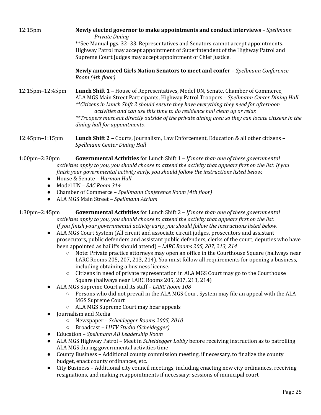#### 12:15pm **Newly elected governor to make appointments and conduct interviews** – *Spellmann Private Dining*

\*\*See Manual pgs. 32–33. Representatives and Senators cannot accept appointments. Highway Patrol may accept appointment of Superintendent of the Highway Patrol and Supreme Court Judges may accept appointment of Chief Justice.

**Newly announced Girls Nation Senators to meet and confer** – *Spellmann Conference Room (4th floor)*

12:15pm–12:45pm **Lunch Shift 1 –** House of Representatives, Model UN, Senate, Chamber of Commerce, ALA MGS Main Street Participants, Highway Patrol Troopers – *Spellmann Center Dining Hall \*\*Citizens in Lunch Shift 2 should ensure they have everything they need for afternoon activities and can use this time to do residence hall clean up or relax \*\*Troopers must eat directly outside of the private dining area so they can locate citizens in the dining hall for appointments.*

12:45pm–1:15pm **Lunch Shift 2 –** Courts, Journalism, Law Enforcement, Education & all other citizens – *Spellmann Center Dining Hall*

1:00pm–2:30pm **Governmental Activities** for Lunch Shift 1 – *If more than one of these governmental* activities apply to you, you should choose to attend the activity that appears first on the list. If you *finish your governmental activity early, you should follow the instructions listed below.*

- House & Senate *Harmon Hall*
- Model UN *SAC Room 314*
- Chamber of Commerce *Spellmann Conference Room (4th floor)*
- ALA MGS Main Street *Spellmann Atrium*

1:30pm–2:45pm **Governmental Activities** for Lunch Shift 2 – *If more than one of these governmental activities apply to you, you should choose to attend the activity that appears first on the list. If you finish your governmental activity early, you should follow the instructions listed below.*

- ALA MGS Court System (All circuit and associate circuit judges, prosecutors and assistant prosecutors, public defenders and assistant public defenders, clerks of the court, deputies who have been appointed as bailiffs should attend) – *LARC Rooms 205, 207, 213, 214*
	- Note: Private practice attorneys may open an office in the Courthouse Square (hallways near LARC Rooms 205, 207, 213, 214). You must follow all requirements for opening a business, including obtaining a business license.
	- Citizens in need of private representation in ALA MGS Court may go to the Courthouse Square (hallways near LARC Rooms 205, 207, 213, 214)
- ALA MGS Supreme Court and its staff *LARC Room 108*
	- Persons who did not prevail in the ALA MGS Court System may file an appeal with the ALA MGS Supreme Court
	- ALA MGS Supreme Court may hear appeals
- Journalism and Media
	- Newspaper *Scheidegger Rooms 2005, 2010*
	- Broadcast *LUTV Studio (Scheidegger)*
- Education *Spellmann AB Leadership Room*
- ALA MGS Highway Patrol Meet in *Scheidegger Lobby* before receiving instruction as to patrolling ALA MGS during governmental activities time
- County Business Additional county commission meeting, if necessary, to finalize the county budget, enact county ordinances, etc.
- City Business Additional city council meetings, including enacting new city ordinances, receiving resignations, and making reappointments if necessary; sessions of municipal court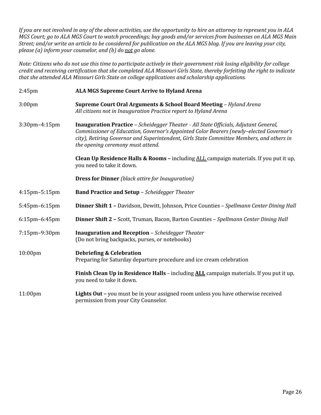If you are not involved in any of the above activities, use the opportunity to hire an attorney to represent you in ALA MGS Court; go to ALA MGS Court to watch proceedings; buy goods and/or services from businesses on ALA MGS Main Street; and/or write an article to be considered for publication on the ALA MGS blog. If you are leaving your city, *please (a) inform your counselor, and (b) do not go alone.*

Note: Citizens who do not use this time to participate actively in their government risk losing eligibility for college credit and receiving certification that she completed ALA Missouri Girls State, thereby forfeiting the right to indicate *that she attended ALA Missouri Girls State on college applications and scholarship applications.*

| $2:45$ pm            | <b>ALA MGS Supreme Court Arrive to Hyland Arena</b><br>Supreme Court Oral Arguments & School Board Meeting - Hyland Arena<br>All citizens not in Inauguration Practice report to Hyland Arena                                                                                                                            |  |
|----------------------|--------------------------------------------------------------------------------------------------------------------------------------------------------------------------------------------------------------------------------------------------------------------------------------------------------------------------|--|
| 3:00 <sub>pm</sub>   |                                                                                                                                                                                                                                                                                                                          |  |
| 3:30pm-4:15pm        | <b>Inauguration Practice</b> - Scheidegger Theater - All State Officials, Adjutant General,<br>Commissioner of Education, Governor's Appointed Color Bearers (newly-elected Governor's<br>city), Retiring Governor and Superintendent, Girls State Committee Members, and others in<br>the opening ceremony must attend. |  |
|                      | <b>Clean Up Residence Halls &amp; Rooms - including ALL campaign materials. If you put it up,</b><br>you need to take it down.                                                                                                                                                                                           |  |
|                      | <b>Dress for Dinner</b> (black attire for Inauguration)                                                                                                                                                                                                                                                                  |  |
| $4:15$ pm $-5:15$ pm | <b>Band Practice and Setup - Scheidegger Theater</b>                                                                                                                                                                                                                                                                     |  |
| 5:45pm-6:15pm        | <b>Dinner Shift 1 - Davidson, Dewitt, Johnson, Price Counties - Spellmann Center Dining Hall</b>                                                                                                                                                                                                                         |  |
| 6:15pm-6:45pm        | <b>Dinner Shift 2 - Scott, Truman, Bacon, Barton Counties - Spellmann Center Dining Hall</b>                                                                                                                                                                                                                             |  |
| 7:15pm-9:30pm        | <b>Inauguration and Reception</b> - Scheidegger Theater<br>(Do not bring backpacks, purses, or notebooks)                                                                                                                                                                                                                |  |
| 10:00pm              | <b>Debriefing &amp; Celebration</b><br>Preparing for Saturday departure procedure and ice cream celebration                                                                                                                                                                                                              |  |
|                      | Finish Clean Up in Residence Halls - including ALL campaign materials. If you put it up,<br>you need to take it down.                                                                                                                                                                                                    |  |
| 11:00 <sub>pm</sub>  | Lights Out - you must be in your assigned room unless you have otherwise received<br>permission from your City Counselor.                                                                                                                                                                                                |  |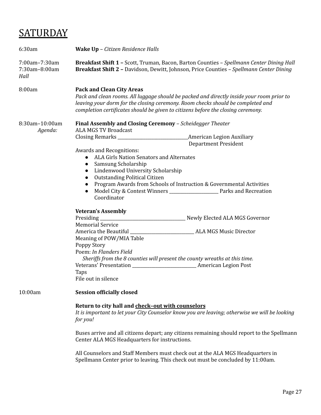# **SATURDAY**

| 6:30am                                 | Wake Up - Citizen Residence Halls                                                                                                                                                                                                                                                                                                                                                                                                                                                                                                                                                                |  |
|----------------------------------------|--------------------------------------------------------------------------------------------------------------------------------------------------------------------------------------------------------------------------------------------------------------------------------------------------------------------------------------------------------------------------------------------------------------------------------------------------------------------------------------------------------------------------------------------------------------------------------------------------|--|
| 7:00am-7:30am<br>7:30am-8:00am<br>Hall | <b>Breakfast Shift 1 - Scott, Truman, Bacon, Barton Counties - Spellmann Center Dining Hall</b><br>Breakfast Shift 2 - Davidson, Dewitt, Johnson, Price Counties - Spellmann Center Dining                                                                                                                                                                                                                                                                                                                                                                                                       |  |
| 8:00am                                 | <b>Pack and Clean City Areas</b><br>Pack and clean rooms. All luggage should be packed and directly inside your room prior to<br>leaving your dorm for the closing ceremony. Room checks should be completed and<br>completion certificates should be given to citizens before the closing ceremony.                                                                                                                                                                                                                                                                                             |  |
| 8:30am-10:00am<br>Agenda:              | Final Assembly and Closing Ceremony - Scheidegger Theater<br><b>ALA MGS TV Broadcast</b><br><b>American Legion Auxiliary</b><br><b>Department President</b><br><b>Awards and Recognitions:</b><br>ALA Girls Nation Senators and Alternates<br>$\bullet$<br>Samsung Scholarship<br>$\bullet$<br>Lindenwood University Scholarship<br>$\bullet$<br><b>Outstanding Political Citizen</b><br>$\bullet$<br>Program Awards from Schools of Instruction & Governmental Activities<br>$\bullet$<br>Model City & Contest Winners _______________________ Parks and Recreation<br>$\bullet$<br>Coordinator |  |
|                                        | <b>Veteran's Assembly</b><br><b>Memorial Service</b><br>Meaning of POW/MIA Table<br>Poppy Story<br>Poem: In Flanders Field<br>Sheriffs from the 8 counties will present the county wreaths at this time.<br>Taps<br>File out in silence                                                                                                                                                                                                                                                                                                                                                          |  |
| 10:00am                                | <b>Session officially closed</b><br>Return to city hall and check-out with counselors<br>It is important to let your City Counselor know you are leaving; otherwise we will be looking<br>for you!<br>Buses arrive and all citizens depart; any citizens remaining should report to the Spellmann<br>Center ALA MGS Headquarters for instructions.                                                                                                                                                                                                                                               |  |
|                                        | All Counselors and Staff Members must check out at the ALA MGS Headquarters in<br>Spellmann Center prior to leaving. This check out must be concluded by 11:00am.                                                                                                                                                                                                                                                                                                                                                                                                                                |  |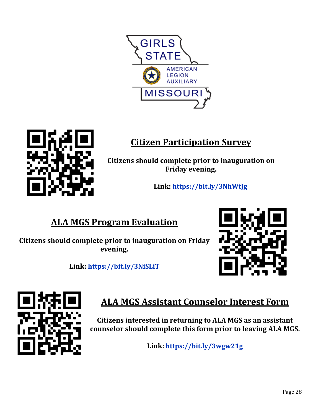



## **Citizen Participation Survey**

**Citizens should complete prior to inauguration on Friday evening.**

**Link[:](https://rb.gy/sx1cmw) <https://bit.ly/3NhWtJg>**

## **ALA MGS Program Evaluation**

**Citizens should complete prior to inauguration on Friday evening.**



**Link: <https://bit.ly/3NiSLiT>**



## **ALA MGS Assistant Counselor Interest Form**

**Citizens interested in returning to ALA MGS as an assistant counselor should complete this form prior to leaving ALA MGS.**

**Link[:](https://rb.gy/muasij) <https://bit.ly/3wgw21g>**